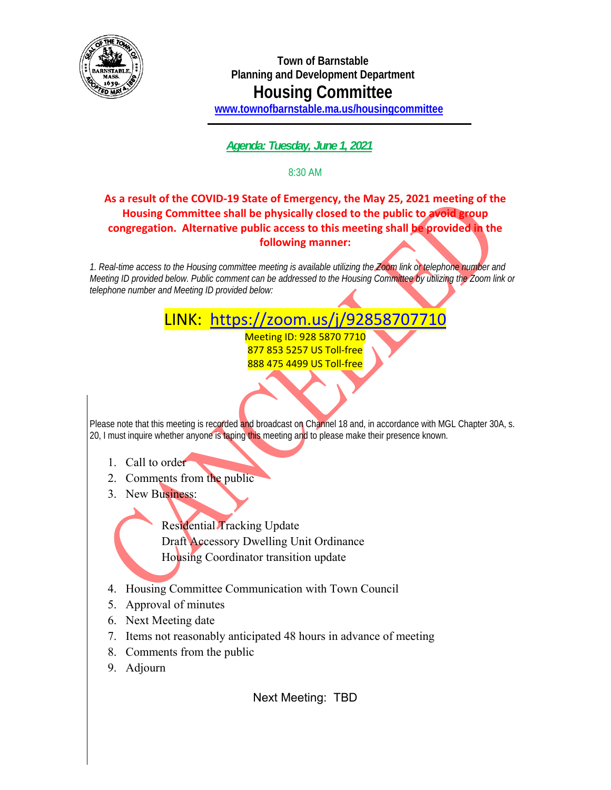

**Town of Barnstable Planning and Development Department Housing Committee www.townofbarnstable.ma.us/housingcommittee**

 *Agenda: Tuesday, June 1, 2021* 

8:30 AM

## **As a result of the COVID-19 State of Emergency, the May 25, 2021 meeting of the Housing Committee shall be physically closed to the public to avoid group congregation. Alternative public access to this meeting shall be provided in the following manner:**

*1. Real-time access to the Housing committee meeting is available utilizing the Zoom link or telephone number and Meeting ID provided below. Public comment can be addressed to the Housing Committee by utilizing the Zoom link or telephone number and Meeting ID provided below:* 

## LINK: https://zoom.us/j/92858707710

Meeting ID: 928 5870 7710 877 853 5257 US Toll-free 888 475 4499 US Toll-free

Please note that this meeting is recorded and broadcast on Channel 18 and, in accordance with MGL Chapter 30A, s. 20, I must inquire whether anyone is taping this meeting and to please make their presence known.

- 1. Call to order
- 2. Comments from the public
- 3. New Business:

 Residential Tracking Update Draft Accessory Dwelling Unit Ordinance Housing Coordinator transition update

4. Housing Committee Communication with Town Council

- 5. Approval of minutes
- 6. Next Meeting date
- 7. Items not reasonably anticipated 48 hours in advance of meeting
- 8. Comments from the public
- 9. Adjourn

Ĩ

Next Meeting: TBD